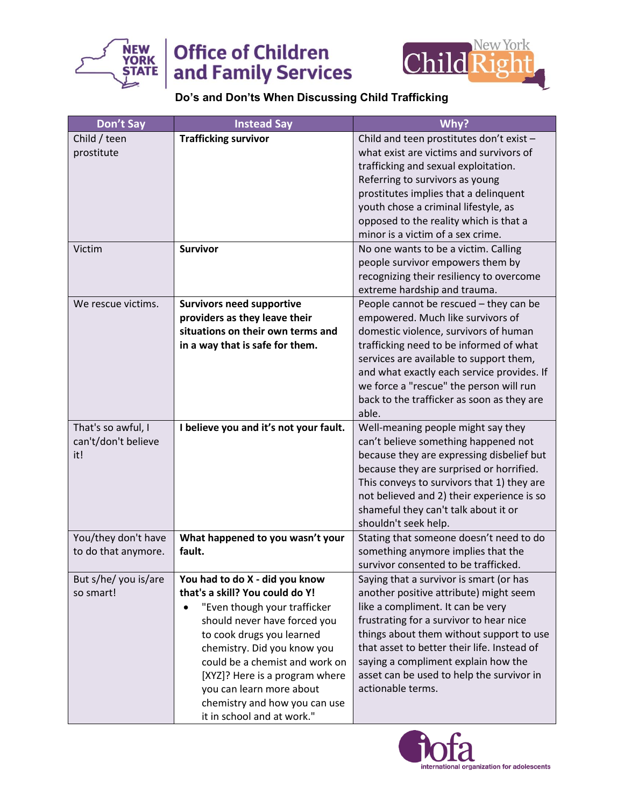

## **Office of Children** and Family Services



## **Do's and Don'ts When Discussing Child Trafficking**

| Don't Say            | <b>Instead Say</b>                     | Why?                                                                       |
|----------------------|----------------------------------------|----------------------------------------------------------------------------|
| Child / teen         | <b>Trafficking survivor</b>            | Child and teen prostitutes don't exist -                                   |
| prostitute           |                                        | what exist are victims and survivors of                                    |
|                      |                                        | trafficking and sexual exploitation.                                       |
|                      |                                        | Referring to survivors as young                                            |
|                      |                                        | prostitutes implies that a delinquent                                      |
|                      |                                        | youth chose a criminal lifestyle, as                                       |
|                      |                                        | opposed to the reality which is that a                                     |
|                      |                                        | minor is a victim of a sex crime.                                          |
| Victim               | <b>Survivor</b>                        | No one wants to be a victim. Calling                                       |
|                      |                                        | people survivor empowers them by                                           |
|                      |                                        | recognizing their resiliency to overcome                                   |
|                      |                                        | extreme hardship and trauma.                                               |
| We rescue victims.   | <b>Survivors need supportive</b>       | People cannot be rescued - they can be                                     |
|                      | providers as they leave their          | empowered. Much like survivors of                                          |
|                      | situations on their own terms and      | domestic violence, survivors of human                                      |
|                      | in a way that is safe for them.        | trafficking need to be informed of what                                    |
|                      |                                        | services are available to support them,                                    |
|                      |                                        | and what exactly each service provides. If                                 |
|                      |                                        | we force a "rescue" the person will run                                    |
|                      |                                        | back to the trafficker as soon as they are<br>able.                        |
| That's so awful, I   |                                        |                                                                            |
| can't/don't believe  | I believe you and it's not your fault. | Well-meaning people might say they<br>can't believe something happened not |
| it!                  |                                        | because they are expressing disbelief but                                  |
|                      |                                        | because they are surprised or horrified.                                   |
|                      |                                        | This conveys to survivors that 1) they are                                 |
|                      |                                        | not believed and 2) their experience is so                                 |
|                      |                                        | shameful they can't talk about it or                                       |
|                      |                                        | shouldn't seek help.                                                       |
| You/they don't have  | What happened to you wasn't your       | Stating that someone doesn't need to do                                    |
| to do that anymore.  | fault.                                 | something anymore implies that the                                         |
|                      |                                        | survivor consented to be trafficked.                                       |
| But s/he/ you is/are | You had to do X - did you know         | Saying that a survivor is smart (or has                                    |
| so smart!            | that's a skill? You could do Y!        | another positive attribute) might seem                                     |
|                      | "Even though your trafficker           | like a compliment. It can be very                                          |
|                      | should never have forced you           | frustrating for a survivor to hear nice                                    |
|                      | to cook drugs you learned              | things about them without support to use                                   |
|                      | chemistry. Did you know you            | that asset to better their life. Instead of                                |
|                      | could be a chemist and work on         | saying a compliment explain how the                                        |
|                      | [XYZ]? Here is a program where         | asset can be used to help the survivor in                                  |
|                      | you can learn more about               | actionable terms.                                                          |
|                      | chemistry and how you can use          |                                                                            |
|                      | it in school and at work."             |                                                                            |

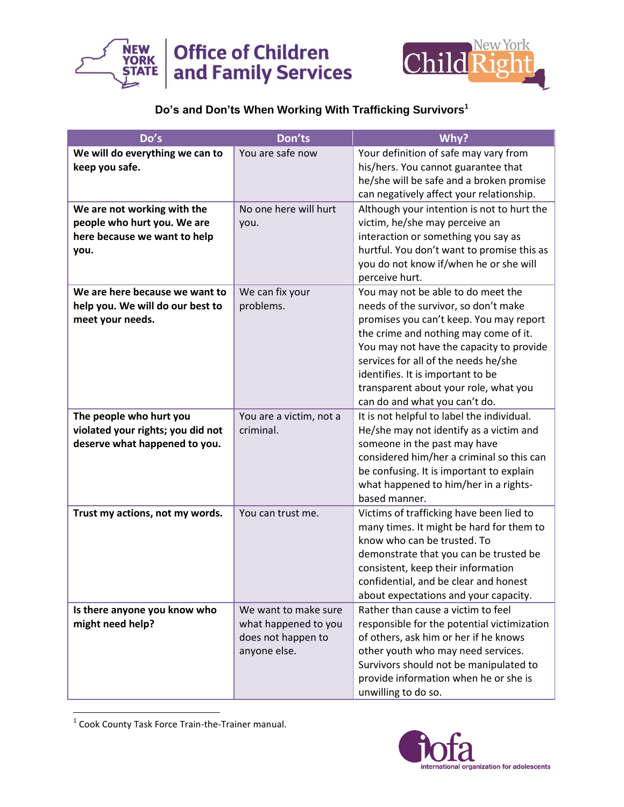



## **Do's and Don'ts When Working With Trafficking Survivors<sup>1</sup>**

| Do's                                                                                               | Don'ts                                                                             | Why?                                                                                                                                                                                                                                                                                                                                                              |
|----------------------------------------------------------------------------------------------------|------------------------------------------------------------------------------------|-------------------------------------------------------------------------------------------------------------------------------------------------------------------------------------------------------------------------------------------------------------------------------------------------------------------------------------------------------------------|
| We will do everything we can to<br>keep you safe.                                                  | You are safe now                                                                   | Your definition of safe may vary from<br>his/hers. You cannot guarantee that<br>he/she will be safe and a broken promise<br>can negatively affect your relationship.                                                                                                                                                                                              |
| We are not working with the<br>people who hurt you. We are<br>here because we want to help<br>you. | No one here will hurt<br>you.                                                      | Although your intention is not to hurt the<br>victim, he/she may perceive an<br>interaction or something you say as<br>hurtful. You don't want to promise this as<br>you do not know if/when he or she will<br>perceive hurt.                                                                                                                                     |
| We are here because we want to<br>help you. We will do our best to<br>meet your needs.             | We can fix your<br>problems.                                                       | You may not be able to do meet the<br>needs of the survivor, so don't make<br>promises you can't keep. You may report<br>the crime and nothing may come of it.<br>You may not have the capacity to provide<br>services for all of the needs he/she<br>identifies. It is important to be<br>transparent about your role, what you<br>can do and what you can't do. |
| The people who hurt you<br>violated your rights; you did not<br>deserve what happened to you.      | You are a victim, not a<br>criminal.                                               | It is not helpful to label the individual.<br>He/she may not identify as a victim and<br>someone in the past may have<br>considered him/her a criminal so this can<br>be confusing. It is important to explain<br>what happened to him/her in a rights-<br>based manner.                                                                                          |
| Trust my actions, not my words.                                                                    | You can trust me.                                                                  | Victims of trafficking have been lied to<br>many times. It might be hard for them to<br>know who can be trusted. To<br>demonstrate that you can be trusted be<br>consistent, keep their information<br>confidential, and be clear and honest<br>about expectations and your capacity.                                                                             |
| Is there anyone you know who<br>might need help?                                                   | We want to make sure<br>what happened to you<br>does not happen to<br>anyone else. | Rather than cause a victim to feel<br>responsible for the potential victimization<br>of others, ask him or her if he knows<br>other youth who may need services.<br>Survivors should not be manipulated to<br>provide information when he or she is<br>unwilling to do so.                                                                                        |

1 Cook County Task Force Train-the-Trainer manual.